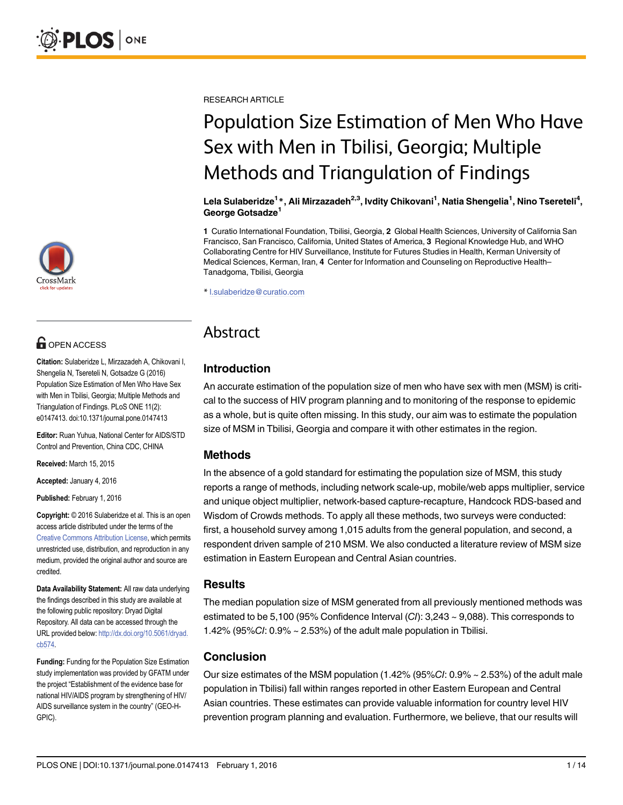

# **G** OPEN ACCESS

Citation: Sulaberidze L, Mirzazadeh A, Chikovani I, Shengelia N, Tsereteli N, Gotsadze G (2016) Population Size Estimation of Men Who Have Sex with Men in Tbilisi, Georgia; Multiple Methods and Triangulation of Findings. PLoS ONE 11(2): e0147413. doi:10.1371/journal.pone.0147413

Editor: Ruan Yuhua, National Center for AIDS/STD Control and Prevention, China CDC, CHINA

Received: March 15, 2015

Accepted: January 4, 2016

Published: February 1, 2016

Copyright: © 2016 Sulaberidze et al. This is an open access article distributed under the terms of the [Creative Commons Attribution License,](http://creativecommons.org/licenses/by/4.0/) which permits unrestricted use, distribution, and reproduction in any medium, provided the original author and source are credited.

Data Availability Statement: All raw data underlying the findings described in this study are available at the following public repository: Dryad Digital Repository. All data can be accessed through the URL provided below: [http://dx.doi.org/10.5061/dryad.](http://dx.doi.org/10.5061/dryad.cb574) [cb574](http://dx.doi.org/10.5061/dryad.cb574).

Funding: Funding for the Population Size Estimation study implementation was provided by GFATM under the project "Establishment of the evidence base for national HIV/AIDS program by strengthening of HIV/ AIDS surveillance system in the country" (GEO-H-GPIC).

RESEARCH ARTICLE

# Population Size Estimation of Men Who Have Sex with Men in Tbilisi, Georgia; Multiple Methods and Triangulation of Findings

Lela Sulaberidze<sup>1</sup>\*, Ali Mirzazadeh<sup>2,3</sup>, Ivdity Chikovani<sup>1</sup>, Natia Shengelia<sup>1</sup>, Nino Tsereteli<sup>4</sup>, George Gotsadze<sup>1</sup>

1 Curatio International Foundation, Tbilisi, Georgia, 2 Global Health Sciences, University of California San Francisco, San Francisco, California, United States of America, 3 Regional Knowledge Hub, and WHO Collaborating Centre for HIV Surveillance, Institute for Futures Studies in Health, Kerman University of Medical Sciences, Kerman, Iran, 4 Center for Information and Counseling on Reproductive Health– Tanadgoma, Tbilisi, Georgia

\* l.sulaberidze@curatio.com

## Abstract

### Introduction

An accurate estimation of the population size of men who have sex with men (MSM) is critical to the success of HIV program planning and to monitoring of the response to epidemic as a whole, but is quite often missing. In this study, our aim was to estimate the population size of MSM in Tbilisi, Georgia and compare it with other estimates in the region.

#### Methods

In the absence of a gold standard for estimating the population size of MSM, this study reports a range of methods, including network scale-up, mobile/web apps multiplier, service and unique object multiplier, network-based capture-recapture, Handcock RDS-based and Wisdom of Crowds methods. To apply all these methods, two surveys were conducted: first, a household survey among 1,015 adults from the general population, and second, a respondent driven sample of 210 MSM. We also conducted a literature review of MSM size estimation in Eastern European and Central Asian countries.

#### **Results**

The median population size of MSM generated from all previously mentioned methods was estimated to be 5,100 (95% Confidence Interval (CI): 3,243 ~ 9,088). This corresponds to 1.42% (95%CI: 0.9% ~ 2.53%) of the adult male population in Tbilisi.

#### Conclusion

Our size estimates of the MSM population  $(1.42\%~(95\%C/I: 0.9\%~\sim 2.53\%)$  of the adult male population in Tbilisi) fall within ranges reported in other Eastern European and Central Asian countries. These estimates can provide valuable information for country level HIV prevention program planning and evaluation. Furthermore, we believe, that our results will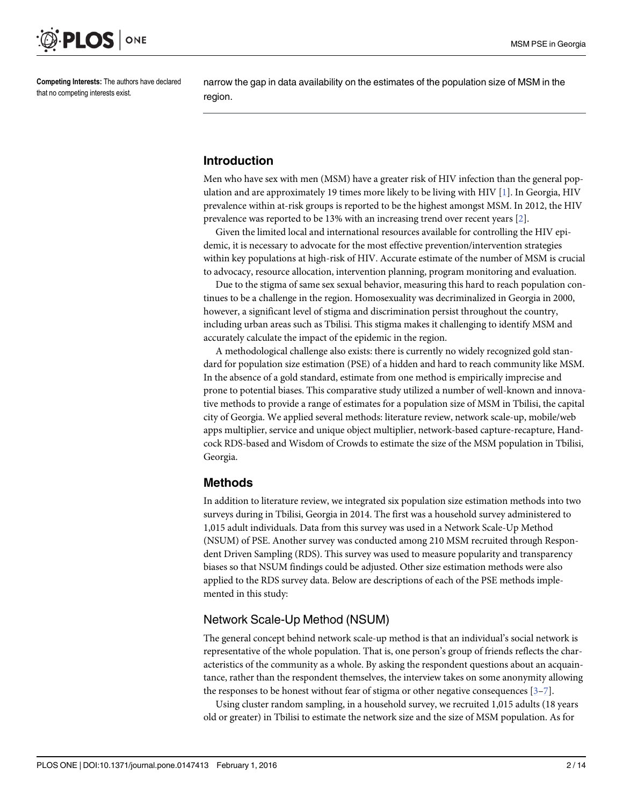<span id="page-1-0"></span>

Competing Interests: The authors have declared that no competing interests exist.

narrow the gap in data availability on the estimates of the population size of MSM in the region.

#### Introduction

Men who have sex with men (MSM) have a greater risk of HIV infection than the general population and are approximately 19 times more likely to be living with HIV [[1](#page-12-0)]. In Georgia, HIV prevalence within at-risk groups is reported to be the highest amongst MSM. In 2012, the HIV prevalence was reported to be 13% with an increasing trend over recent years [[2\]](#page-12-0).

Given the limited local and international resources available for controlling the HIV epidemic, it is necessary to advocate for the most effective prevention/intervention strategies within key populations at high-risk of HIV. Accurate estimate of the number of MSM is crucial to advocacy, resource allocation, intervention planning, program monitoring and evaluation.

Due to the stigma of same sex sexual behavior, measuring this hard to reach population continues to be a challenge in the region. Homosexuality was decriminalized in Georgia in 2000, however, a significant level of stigma and discrimination persist throughout the country, including urban areas such as Tbilisi. This stigma makes it challenging to identify MSM and accurately calculate the impact of the epidemic in the region.

A methodological challenge also exists: there is currently no widely recognized gold standard for population size estimation (PSE) of a hidden and hard to reach community like MSM. In the absence of a gold standard, estimate from one method is empirically imprecise and prone to potential biases. This comparative study utilized a number of well-known and innovative methods to provide a range of estimates for a population size of MSM in Tbilisi, the capital city of Georgia. We applied several methods: literature review, network scale-up, mobile/web apps multiplier, service and unique object multiplier, network-based capture-recapture, Handcock RDS-based and Wisdom of Crowds to estimate the size of the MSM population in Tbilisi, Georgia.

#### Methods

In addition to literature review, we integrated six population size estimation methods into two surveys during in Tbilisi, Georgia in 2014. The first was a household survey administered to 1,015 adult individuals. Data from this survey was used in a Network Scale-Up Method (NSUM) of PSE. Another survey was conducted among 210 MSM recruited through Respondent Driven Sampling (RDS). This survey was used to measure popularity and transparency biases so that NSUM findings could be adjusted. Other size estimation methods were also applied to the RDS survey data. Below are descriptions of each of the PSE methods implemented in this study:

#### Network Scale-Up Method (NSUM)

The general concept behind network scale-up method is that an individual's social network is representative of the whole population. That is, one person's group of friends reflects the characteristics of the community as a whole. By asking the respondent questions about an acquaintance, rather than the respondent themselves, the interview takes on some anonymity allowing the responses to be honest without fear of stigma or other negative consequences  $[3-7]$  $[3-7]$  $[3-7]$  $[3-7]$ .

Using cluster random sampling, in a household survey, we recruited 1,015 adults (18 years old or greater) in Tbilisi to estimate the network size and the size of MSM population. As for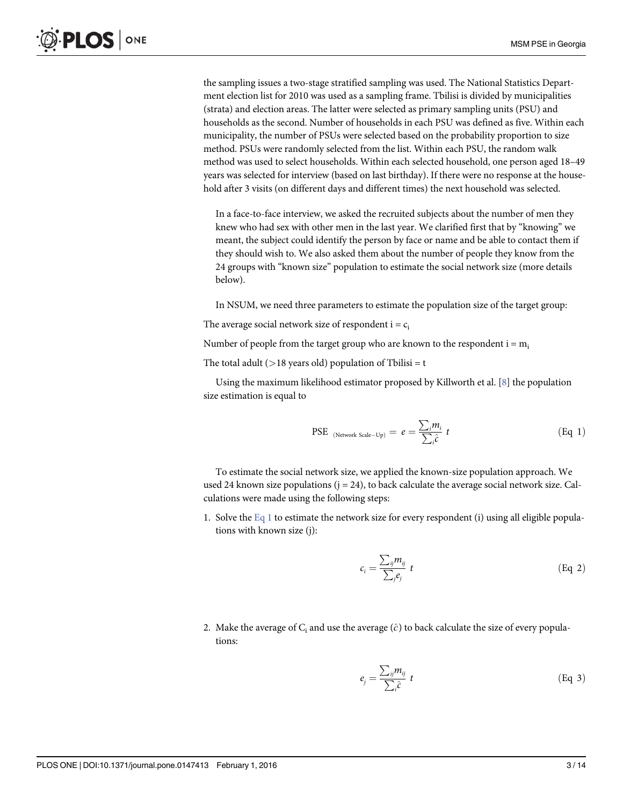<span id="page-2-0"></span>the sampling issues a two-stage stratified sampling was used. The National Statistics Department election list for 2010 was used as a sampling frame. Tbilisi is divided by municipalities (strata) and election areas. The latter were selected as primary sampling units (PSU) and households as the second. Number of households in each PSU was defined as five. Within each municipality, the number of PSUs were selected based on the probability proportion to size method. PSUs were randomly selected from the list. Within each PSU, the random walk method was used to select households. Within each selected household, one person aged 18–49 years was selected for interview (based on last birthday). If there were no response at the household after 3 visits (on different days and different times) the next household was selected.

In a face-to-face interview, we asked the recruited subjects about the number of men they knew who had sex with other men in the last year. We clarified first that by "knowing" we meant, the subject could identify the person by face or name and be able to contact them if they should wish to. We also asked them about the number of people they know from the 24 groups with "known size" population to estimate the social network size (more details below).

In NSUM, we need three parameters to estimate the population size of the target group:

The average social network size of respondent  $i = c_i$ 

Number of people from the target group who are known to the respondent  $i = m_i$ 

The total adult ( $>18$  years old) population of Tbilisi = t

Using the maximum likelihood estimator proposed by Killworth et al. [\[8](#page-12-0)] the population size estimation is equal to

PSE <sub>(Network Scale-Up)</sub> = 
$$
e = \frac{\sum_{i} m_{i}}{\sum_{i} \hat{c}} t
$$
 (Eq 1)

To estimate the social network size, we applied the known-size population approach. We used 24 known size populations  $(j = 24)$ , to back calculate the average social network size. Calculations were made using the following steps:

1. Solve the  $Eq_1$  to estimate the network size for every respondent (i) using all eligible populations with known size (j):

$$
c_i = \frac{\sum_{ij} m_{ij}}{\sum_j e_j} t \tag{Eq 2}
$$

2. Make the average of  $C_i$  and use the average  $(\hat{c})$  to back calculate the size of every populations:

$$
e_j = \frac{\sum_{ij} m_{ij}}{\sum_i \hat{c}} t \tag{Eq 3}
$$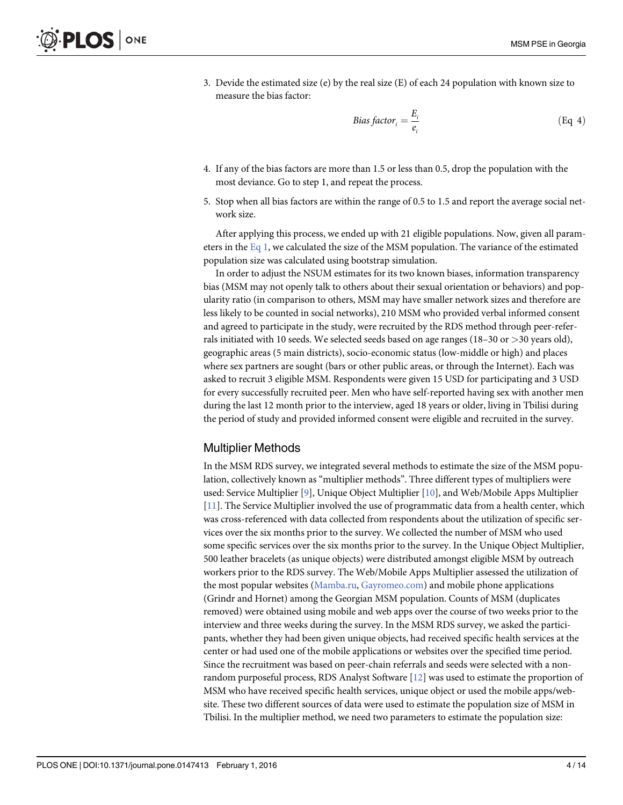<span id="page-3-0"></span>3. Devide the estimated size (e) by the real size (E) of each 24 population with known size to measure the bias factor:

Bias factor<sub>i</sub> = 
$$
\frac{E_i}{e_i}
$$
 (Eq 4)

- 4. If any of the bias factors are more than 1.5 or less than 0.5, drop the population with the most deviance. Go to step 1, and repeat the process.
- 5. Stop when all bias factors are within the range of 0.5 to 1.5 and report the average social network size.

After applying this process, we ended up with 21 eligible populations. Now, given all parameters in the  $Eq_1$ , we calculated the size of the MSM population. The variance of the estimated population size was calculated using bootstrap simulation.

In order to adjust the NSUM estimates for its two known biases, information transparency bias (MSM may not openly talk to others about their sexual orientation or behaviors) and popularity ratio (in comparison to others, MSM may have smaller network sizes and therefore are less likely to be counted in social networks), 210 MSM who provided verbal informed consent and agreed to participate in the study, were recruited by the RDS method through peer-referrals initiated with 10 seeds. We selected seeds based on age ranges (18–30 or >30 years old), geographic areas (5 main districts), socio-economic status (low-middle or high) and places where sex partners are sought (bars or other public areas, or through the Internet). Each was asked to recruit 3 eligible MSM. Respondents were given 15 USD for participating and 3 USD for every successfully recruited peer. Men who have self-reported having sex with another men during the last 12 month prior to the interview, aged 18 years or older, living in Tbilisi during the period of study and provided informed consent were eligible and recruited in the survey.

#### Multiplier Methods

In the MSM RDS survey, we integrated several methods to estimate the size of the MSM population, collectively known as "multiplier methods". Three different types of multipliers were used: Service Multiplier [[9\]](#page-12-0), Unique Object Multiplier [[10\]](#page-12-0), and Web/Mobile Apps Multiplier [\[11](#page-12-0)]. The Service Multiplier involved the use of programmatic data from a health center, which was cross-referenced with data collected from respondents about the utilization of specific services over the six months prior to the survey. We collected the number of MSM who used some specific services over the six months prior to the survey. In the Unique Object Multiplier, 500 leather bracelets (as unique objects) were distributed amongst eligible MSM by outreach workers prior to the RDS survey. The Web/Mobile Apps Multiplier assessed the utilization of the most popular websites ([Mamba.ru,](http://Mamba.ru) [Gayromeo.com\)](http://Gayromeo.com) and mobile phone applications (Grindr and Hornet) among the Georgian MSM population. Counts of MSM (duplicates removed) were obtained using mobile and web apps over the course of two weeks prior to the interview and three weeks during the survey. In the MSM RDS survey, we asked the participants, whether they had been given unique objects, had received specific health services at the center or had used one of the mobile applications or websites over the specified time period. Since the recruitment was based on peer-chain referrals and seeds were selected with a nonrandom purposeful process, RDS Analyst Software [\[12\]](#page-12-0) was used to estimate the proportion of MSM who have received specific health services, unique object or used the mobile apps/website. These two different sources of data were used to estimate the population size of MSM in Tbilisi. In the multiplier method, we need two parameters to estimate the population size: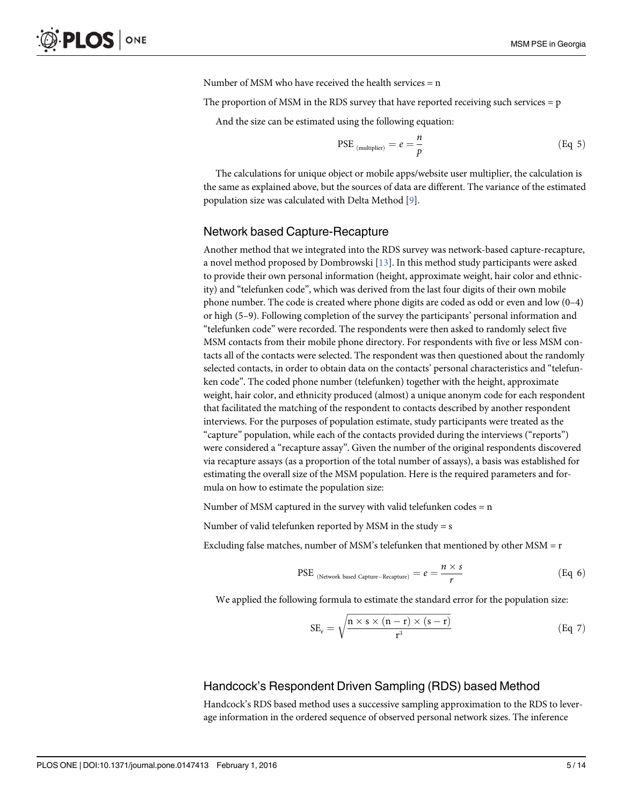Number of MSM who have received the health services  $= n$ 

<span id="page-4-0"></span>The proportion of MSM in the RDS survey that have reported receiving such services  $= p$ 

And the size can be estimated using the following equation:

$$
\text{PSE}_{(\text{multiplier})} = e = \frac{n}{p} \tag{Eq 5}
$$

The calculations for unique object or mobile apps/website user multiplier, the calculation is the same as explained above, but the sources of data are different. The variance of the estimated population size was calculated with Delta Method [\[9](#page-12-0)].

#### Network based Capture-Recapture

Another method that we integrated into the RDS survey was network-based capture-recapture, a novel method proposed by Dombrowski [\[13\]](#page-12-0). In this method study participants were asked to provide their own personal information (height, approximate weight, hair color and ethnicity) and "telefunken code", which was derived from the last four digits of their own mobile phone number. The code is created where phone digits are coded as odd or even and low (0–4) or high (5–9). Following completion of the survey the participants' personal information and "telefunken code" were recorded. The respondents were then asked to randomly select five MSM contacts from their mobile phone directory. For respondents with five or less MSM contacts all of the contacts were selected. The respondent was then questioned about the randomly selected contacts, in order to obtain data on the contacts' personal characteristics and "telefunken code". The coded phone number (telefunken) together with the height, approximate weight, hair color, and ethnicity produced (almost) a unique anonym code for each respondent that facilitated the matching of the respondent to contacts described by another respondent interviews. For the purposes of population estimate, study participants were treated as the "capture" population, while each of the contacts provided during the interviews ("reports") were considered a "recapture assay". Given the number of the original respondents discovered via recapture assays (as a proportion of the total number of assays), a basis was established for estimating the overall size of the MSM population. Here is the required parameters and formula on how to estimate the population size:

Number of MSM captured in the survey with valid telefunken codes  $= n$ 

Number of valid telefunken reported by MSM in the study = s

Excluding false matches, number of MSM's telefunken that mentioned by other  $MSM = r$ 

PSE 
$$
_{(Network based ~Capture-Recapture)} = e = \frac{n \times s}{r}
$$
 (Eq 6)

We applied the following formula to estimate the standard error for the population size:

$$
SE_e = \sqrt{\frac{n \times s \times (n-r) \times (s-r)}{r^3}}
$$
 (Eq 7)

#### Handcock's Respondent Driven Sampling (RDS) based Method

Handcock's RDS based method uses a successive sampling approximation to the RDS to leverage information in the ordered sequence of observed personal network sizes. The inference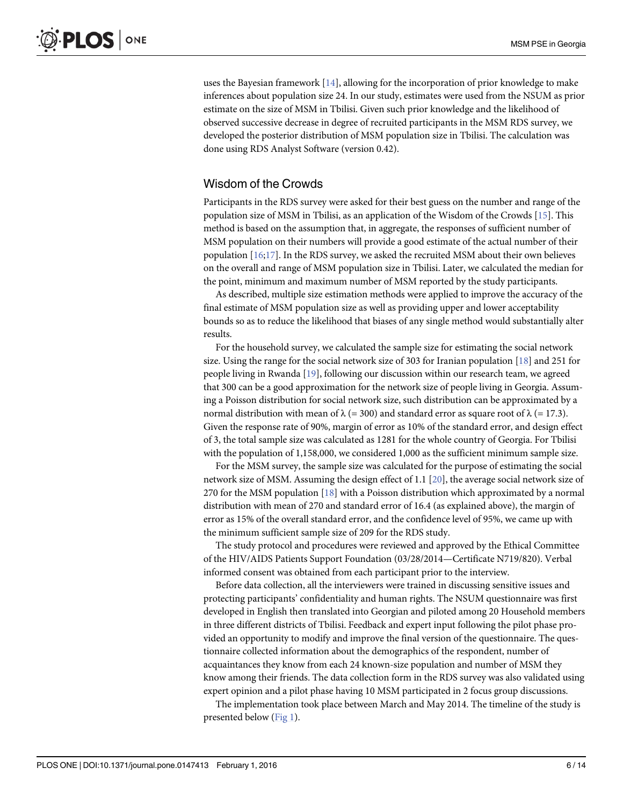<span id="page-5-0"></span>uses the Bayesian framework [\[14\]](#page-12-0), allowing for the incorporation of prior knowledge to make inferences about population size 24. In our study, estimates were used from the NSUM as prior estimate on the size of MSM in Tbilisi. Given such prior knowledge and the likelihood of observed successive decrease in degree of recruited participants in the MSM RDS survey, we developed the posterior distribution of MSM population size in Tbilisi. The calculation was done using RDS Analyst Software (version 0.42).

#### Wisdom of the Crowds

Participants in the RDS survey were asked for their best guess on the number and range of the population size of MSM in Tbilisi, as an application of the Wisdom of the Crowds [[15](#page-12-0)]. This method is based on the assumption that, in aggregate, the responses of sufficient number of MSM population on their numbers will provide a good estimate of the actual number of their population  $[16;17]$ . In the RDS survey, we asked the recruited MSM about their own believes on the overall and range of MSM population size in Tbilisi. Later, we calculated the median for the point, minimum and maximum number of MSM reported by the study participants.

As described, multiple size estimation methods were applied to improve the accuracy of the final estimate of MSM population size as well as providing upper and lower acceptability bounds so as to reduce the likelihood that biases of any single method would substantially alter results.

For the household survey, we calculated the sample size for estimating the social network size. Using the range for the social network size of 303 for Iranian population  $[18]$  $[18]$  and 251 for people living in Rwanda [\[19\]](#page-12-0), following our discussion within our research team, we agreed that 300 can be a good approximation for the network size of people living in Georgia. Assuming a Poisson distribution for social network size, such distribution can be approximated by a normal distribution with mean of  $\lambda$  (= 300) and standard error as square root of  $\lambda$  (= 17.3). Given the response rate of 90%, margin of error as 10% of the standard error, and design effect of 3, the total sample size was calculated as 1281 for the whole country of Georgia. For Tbilisi with the population of 1,158,000, we considered 1,000 as the sufficient minimum sample size.

For the MSM survey, the sample size was calculated for the purpose of estimating the social network size of MSM. Assuming the design effect of 1.1 [[20](#page-12-0)], the average social network size of 270 for the MSM population  $[18]$  $[18]$  with a Poisson distribution which approximated by a normal distribution with mean of 270 and standard error of 16.4 (as explained above), the margin of error as 15% of the overall standard error, and the confidence level of 95%, we came up with the minimum sufficient sample size of 209 for the RDS study.

The study protocol and procedures were reviewed and approved by the Ethical Committee of the HIV/AIDS Patients Support Foundation (03/28/2014—Certificate N719/820). Verbal informed consent was obtained from each participant prior to the interview.

Before data collection, all the interviewers were trained in discussing sensitive issues and protecting participants' confidentiality and human rights. The NSUM questionnaire was first developed in English then translated into Georgian and piloted among 20 Household members in three different districts of Tbilisi. Feedback and expert input following the pilot phase provided an opportunity to modify and improve the final version of the questionnaire. The questionnaire collected information about the demographics of the respondent, number of acquaintances they know from each 24 known-size population and number of MSM they know among their friends. The data collection form in the RDS survey was also validated using expert opinion and a pilot phase having 10 MSM participated in 2 focus group discussions.

The implementation took place between March and May 2014. The timeline of the study is presented below [\(Fig 1](#page-6-0)).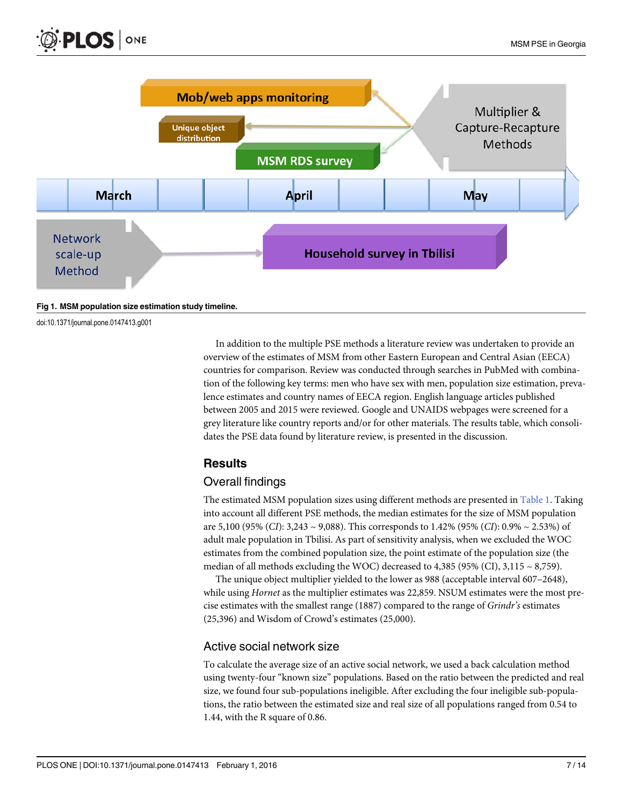<span id="page-6-0"></span>

```
Fig 1. MSM population size estimation study timeline.
```
doi:10.1371/journal.pone.0147413.g001

In addition to the multiple PSE methods a literature review was undertaken to provide an overview of the estimates of MSM from other Eastern European and Central Asian (EECA) countries for comparison. Review was conducted through searches in PubMed with combination of the following key terms: men who have sex with men, population size estimation, prevalence estimates and country names of EECA region. English language articles published between 2005 and 2015 were reviewed. Google and UNAIDS webpages were screened for a grey literature like country reports and/or for other materials. The results table, which consolidates the PSE data found by literature review, is presented in the discussion.

## **Results**

## Overall findings

The estimated MSM population sizes using different methods are presented in [Table 1.](#page-7-0) Taking into account all different PSE methods, the median estimates for the size of MSM population are 5,100 (95% (CI): 3,243 ~ 9,088). This corresponds to 1.42% (95% (CI): 0.9% ~ 2.53%) of adult male population in Tbilisi. As part of sensitivity analysis, when we excluded the WOC estimates from the combined population size, the point estimate of the population size (the median of all methods excluding the WOC) decreased to  $4,385$  (95% (CI),  $3,115 \sim 8,759$ ).

The unique object multiplier yielded to the lower as 988 (acceptable interval 607–2648), while using *Hornet* as the multiplier estimates was 22,859. NSUM estimates were the most precise estimates with the smallest range (1887) compared to the range of Grindr's estimates (25,396) and Wisdom of Crowd's estimates (25,000).

## Active social network size

To calculate the average size of an active social network, we used a back calculation method using twenty-four "known size" populations. Based on the ratio between the predicted and real size, we found four sub-populations ineligible. After excluding the four ineligible sub-populations, the ratio between the estimated size and real size of all populations ranged from 0.54 to 1.44, with the R square of 0.86.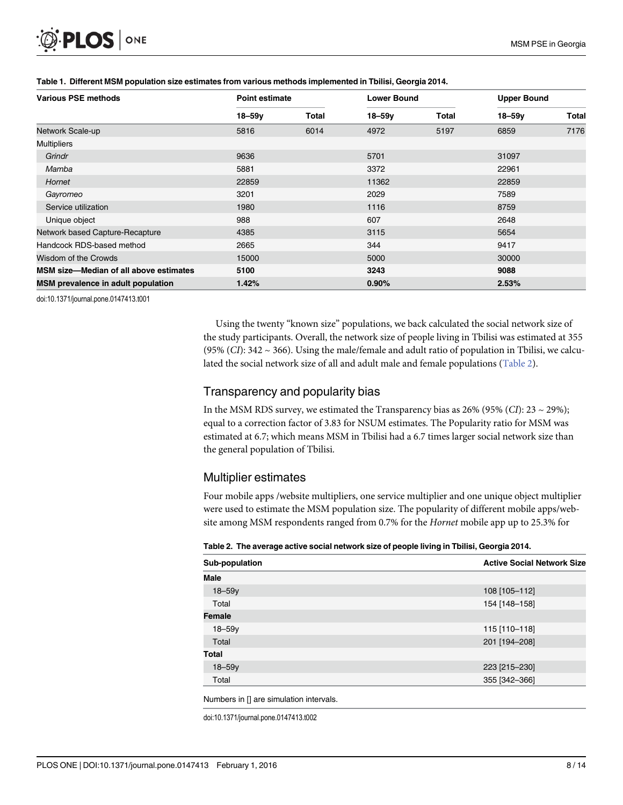<span id="page-7-0"></span>

| <b>Various PSE methods</b>             | <b>Point estimate</b> |       | <b>Lower Bound</b> |       | <b>Upper Bound</b> |              |
|----------------------------------------|-----------------------|-------|--------------------|-------|--------------------|--------------|
|                                        | $18 - 59v$            | Total | $18 - 59v$         | Total | $18 - 59v$         | <b>Total</b> |
| Network Scale-up                       | 5816                  | 6014  | 4972               | 5197  | 6859               | 7176         |
| <b>Multipliers</b>                     |                       |       |                    |       |                    |              |
| Grindr                                 | 9636                  |       | 5701               |       | 31097              |              |
| Mamba                                  | 5881                  |       | 3372               |       | 22961              |              |
| Hornet                                 | 22859                 |       | 11362              |       | 22859              |              |
| Gayromeo                               | 3201                  |       | 2029               |       | 7589               |              |
| Service utilization                    | 1980                  |       | 1116               |       | 8759               |              |
| Unique object                          | 988                   |       | 607                |       | 2648               |              |
| Network based Capture-Recapture        | 4385                  |       | 3115               |       | 5654               |              |
| Handcock RDS-based method              | 2665                  |       | 344                |       | 9417               |              |
| Wisdom of the Crowds                   | 15000                 |       | 5000               |       | 30000              |              |
| MSM size-Median of all above estimates | 5100                  |       | 3243               |       | 9088               |              |
| MSM prevalence in adult population     | 1.42%                 |       | 0.90%              |       | 2.53%              |              |

#### [Table 1.](#page-6-0) Different MSM population size estimates from various methods implemented in Tbilisi, Georgia 2014.

doi:10.1371/journal.pone.0147413.t001

Using the twenty "known size" populations, we back calculated the social network size of the study participants. Overall, the network size of people living in Tbilisi was estimated at 355 (95% (CI):  $342 \sim 366$ ). Using the male/female and adult ratio of population in Tbilisi, we calculated the social network size of all and adult male and female populations (Table 2).

#### Transparency and popularity bias

In the MSM RDS survey, we estimated the Transparency bias as  $26\%$  (95% (CI):  $23 \sim 29\%$ ); equal to a correction factor of 3.83 for NSUM estimates. The Popularity ratio for MSM was estimated at 6.7; which means MSM in Tbilisi had a 6.7 times larger social network size than the general population of Tbilisi.

#### Multiplier estimates

Four mobile apps /website multipliers, one service multiplier and one unique object multiplier were used to estimate the MSM population size. The popularity of different mobile apps/website among MSM respondents ranged from 0.7% for the Hornet mobile app up to 25.3% for

|  |  |  | Table 2. The average active social network size of people living in Tbilisi, Georgia 2014. |
|--|--|--|--------------------------------------------------------------------------------------------|
|--|--|--|--------------------------------------------------------------------------------------------|

| Sub-population | <b>Active Social Network Size</b> |  |  |
|----------------|-----------------------------------|--|--|
| <b>Male</b>    |                                   |  |  |
| $18 - 59y$     | 108 [105-112]                     |  |  |
| Total          | 154 [148-158]                     |  |  |
| <b>Female</b>  |                                   |  |  |
| $18 - 59y$     | 115 [110-118]                     |  |  |
| Total          | 201 [194-208]                     |  |  |
| <b>Total</b>   |                                   |  |  |
| $18 - 59y$     | 223 [215-230]                     |  |  |
| Total          | 355 [342-366]                     |  |  |

Numbers in [] are simulation intervals.

doi:10.1371/journal.pone.0147413.t002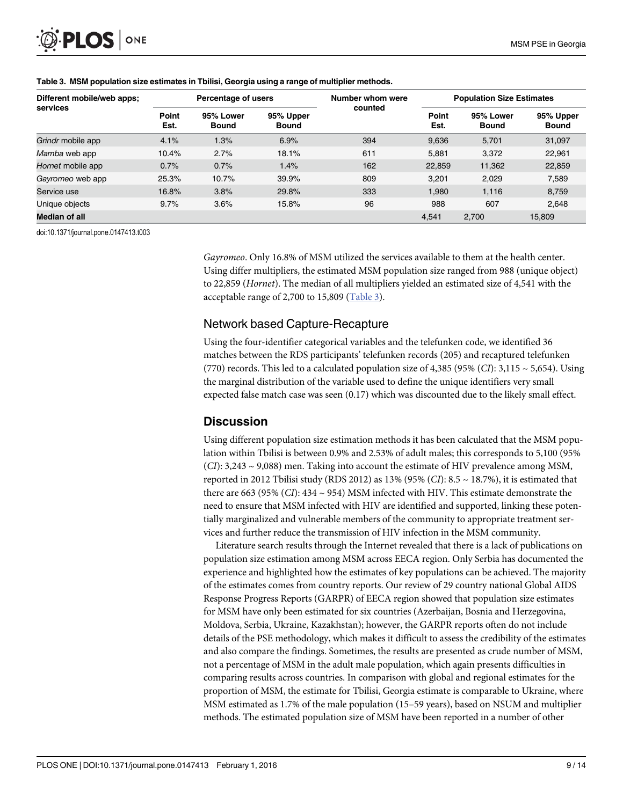| Different mobile/web apps;<br>services | Percentage of users |                           |                           | Number whom were | <b>Population Size Estimates</b> |                           |                           |
|----------------------------------------|---------------------|---------------------------|---------------------------|------------------|----------------------------------|---------------------------|---------------------------|
|                                        | Point<br>Est.       | 95% Lower<br><b>Bound</b> | 95% Upper<br><b>Bound</b> | counted          | Point<br>Est.                    | 95% Lower<br><b>Bound</b> | 95% Upper<br><b>Bound</b> |
| Grindr mobile app                      | 4.1%                | 1.3%                      | 6.9%                      | 394              | 9,636                            | 5.701                     | 31,097                    |
| Mamba web app                          | 10.4%               | 2.7%                      | 18.1%                     | 611              | 5,881                            | 3,372                     | 22,961                    |
| Hornet mobile app                      | 0.7%                | 0.7%                      | 1.4%                      | 162              | 22,859                           | 11,362                    | 22,859                    |
| Gayromeo web app                       | 25.3%               | 10.7%                     | 39.9%                     | 809              | 3.201                            | 2.029                     | 7.589                     |
| Service use                            | 16.8%               | 3.8%                      | 29.8%                     | 333              | 1.980                            | 1.116                     | 8,759                     |
| Unique objects                         | 9.7%                | 3.6%                      | 15.8%                     | 96               | 988                              | 607                       | 2.648                     |
| <b>Median of all</b>                   |                     |                           |                           |                  | 4.541                            | 2.700                     | 15,809                    |

#### Table 3. MSM population size estimates in Tbilisi, Georgia using a range of multiplier methods.

doi:10.1371/journal.pone.0147413.t003

Gayromeo. Only 16.8% of MSM utilized the services available to them at the health center. Using differ multipliers, the estimated MSM population size ranged from 988 (unique object) to 22,859 (Hornet). The median of all multipliers yielded an estimated size of 4,541 with the acceptable range of 2,700 to 15,809 (Table 3).

#### Network based Capture-Recapture

Using the four-identifier categorical variables and the telefunken code, we identified 36 matches between the RDS participants' telefunken records (205) and recaptured telefunken (770) records. This led to a calculated population size of 4,385 (95% (CI):  $3,115 \sim 5,654$ ). Using the marginal distribution of the variable used to define the unique identifiers very small expected false match case was seen (0.17) which was discounted due to the likely small effect.

## **Discussion**

Using different population size estimation methods it has been calculated that the MSM population within Tbilisi is between 0.9% and 2.53% of adult males; this corresponds to 5,100 (95%  $(CI): 3,243 \sim 9,088$  men. Taking into account the estimate of HIV prevalence among MSM, reported in 2012 Tbilisi study (RDS 2012) as 13% (95% (CI): 8.5  $\sim$  18.7%), it is estimated that there are 663 (95% (CI): 434 ~ 954) MSM infected with HIV. This estimate demonstrate the need to ensure that MSM infected with HIV are identified and supported, linking these potentially marginalized and vulnerable members of the community to appropriate treatment services and further reduce the transmission of HIV infection in the MSM community.

Literature search results through the Internet revealed that there is a lack of publications on population size estimation among MSM across EECA region. Only Serbia has documented the experience and highlighted how the estimates of key populations can be achieved. The majority of the estimates comes from country reports. Our review of 29 country national Global AIDS Response Progress Reports (GARPR) of EECA region showed that population size estimates for MSM have only been estimated for six countries (Azerbaijan, Bosnia and Herzegovina, Moldova, Serbia, Ukraine, Kazakhstan); however, the GARPR reports often do not include details of the PSE methodology, which makes it difficult to assess the credibility of the estimates and also compare the findings. Sometimes, the results are presented as crude number of MSM, not a percentage of MSM in the adult male population, which again presents difficulties in comparing results across countries. In comparison with global and regional estimates for the proportion of MSM, the estimate for Tbilisi, Georgia estimate is comparable to Ukraine, where MSM estimated as 1.7% of the male population (15–59 years), based on NSUM and multiplier methods. The estimated population size of MSM have been reported in a number of other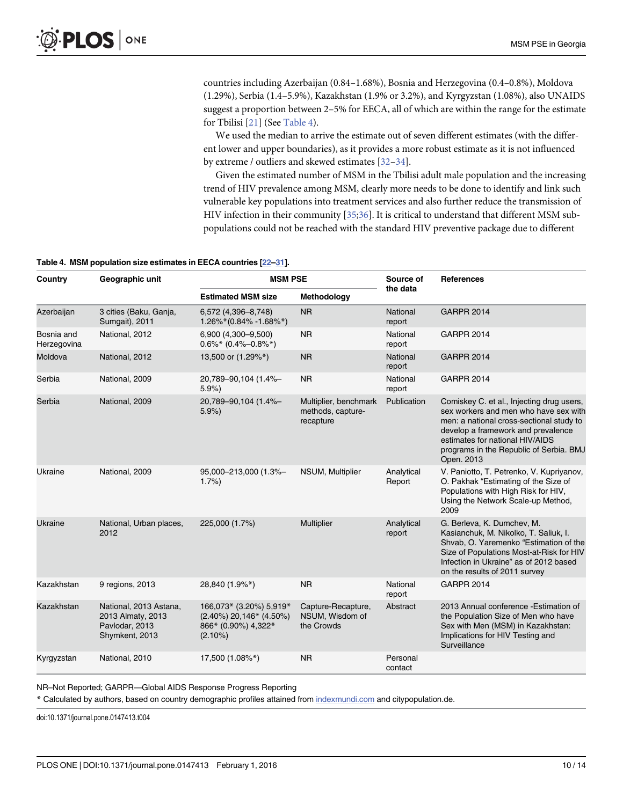<span id="page-9-0"></span>countries including Azerbaijan (0.84–1.68%), Bosnia and Herzegovina (0.4–0.8%), Moldova (1.29%), Serbia (1.4–5.9%), Kazakhstan (1.9% or 3.2%), and Kyrgyzstan (1.08%), also UNAIDS suggest a proportion between 2–5% for EECA, all of which are within the range for the estimate for Tbilisi [[21](#page-12-0)] (See Table 4).

We used the median to arrive the estimate out of seven different estimates (with the different lower and upper boundaries), as it provides a more robust estimate as it is not influenced by extreme / outliers and skewed estimates [\[32](#page-13-0)–[34](#page-13-0)].

Given the estimated number of MSM in the Tbilisi adult male population and the increasing trend of HIV prevalence among MSM, clearly more needs to be done to identify and link such vulnerable key populations into treatment services and also further reduce the transmission of HIV infection in their community [[35](#page-13-0);[36](#page-13-0)]. It is critical to understand that different MSM subpopulations could not be reached with the standard HIV preventive package due to different

#### Table 4. MSM population size estimates in EECA countries [[22](#page-12-0)-[31\]](#page-13-0).

| Country                   | Geographic unit                                                                 | <b>MSM PSE</b>                                                                          |                                                         | Source of            | <b>References</b>                                                                                                                                                                                                                                                |  |
|---------------------------|---------------------------------------------------------------------------------|-----------------------------------------------------------------------------------------|---------------------------------------------------------|----------------------|------------------------------------------------------------------------------------------------------------------------------------------------------------------------------------------------------------------------------------------------------------------|--|
|                           |                                                                                 | <b>Estimated MSM size</b>                                                               | Methodology                                             | the data             |                                                                                                                                                                                                                                                                  |  |
| Azerbaijan                | 3 cities (Baku, Ganja,<br>Sumgait), 2011                                        | 6,572 (4,396-8,748)<br>$1.26\%*(0.84\% -1.68\%*)$                                       | <b>NR</b>                                               | National<br>report   | <b>GARPR 2014</b>                                                                                                                                                                                                                                                |  |
| Bosnia and<br>Herzegovina | National, 2012                                                                  | 6,900 (4,300-9,500)<br>$0.6\%*$ (0.4%-0.8%*)                                            | <b>NR</b>                                               | National<br>report   | <b>GARPR 2014</b>                                                                                                                                                                                                                                                |  |
| Moldova                   | National, 2012                                                                  | 13,500 or (1.29%*)                                                                      | <b>NR</b>                                               | National<br>report   | <b>GARPR 2014</b>                                                                                                                                                                                                                                                |  |
| Serbia                    | National, 2009                                                                  | 20,789-90,104 (1.4%-<br>5.9%                                                            | <b>NR</b>                                               | National<br>report   | <b>GARPR 2014</b>                                                                                                                                                                                                                                                |  |
| Serbia                    | National, 2009                                                                  | 20,789-90,104 (1.4%-<br>5.9%                                                            | Multiplier, benchmark<br>methods, capture-<br>recapture | Publication          | Comiskey C. et al., Injecting drug users,<br>sex workers and men who have sex with<br>men: a national cross-sectional study to<br>develop a framework and prevalence<br>estimates for national HIV/AIDS<br>programs in the Republic of Serbia. BMJ<br>Open. 2013 |  |
| Ukraine                   | National, 2009                                                                  | 95,000-213,000 (1.3%-<br>1.7%                                                           | NSUM, Multiplier                                        | Analytical<br>Report | V. Paniotto, T. Petrenko, V. Kupriyanov,<br>O. Pakhak "Estimating of the Size of<br>Populations with High Risk for HIV,<br>Using the Network Scale-up Method,<br>2009                                                                                            |  |
| Ukraine                   | National, Urban places,<br>2012                                                 | 225,000 (1.7%)                                                                          | Multiplier                                              | Analytical<br>report | G. Berleva, K. Dumchev, M.<br>Kasianchuk, M. Nikolko, T. Saliuk, I.<br>Shvab, O. Yaremenko "Estimation of the<br>Size of Populations Most-at-Risk for HIV<br>Infection in Ukraine" as of 2012 based<br>on the results of 2011 survey                             |  |
| Kazakhstan                | 9 regions, 2013                                                                 | 28,840 (1.9%*)                                                                          | <b>NR</b>                                               | National<br>report   | <b>GARPR 2014</b>                                                                                                                                                                                                                                                |  |
| Kazakhstan                | National, 2013 Astana,<br>2013 Almaty, 2013<br>Pavlodar, 2013<br>Shymkent, 2013 | 166,073* (3.20%) 5,919*<br>(2.40%) 20,146* (4.50%)<br>866* (0.90%) 4,322*<br>$(2.10\%)$ | Capture-Recapture,<br>NSUM, Wisdom of<br>the Crowds     | Abstract             | 2013 Annual conference - Estimation of<br>the Population Size of Men who have<br>Sex with Men (MSM) in Kazakhstan:<br>Implications for HIV Testing and<br>Surveillance                                                                                           |  |
| Kyrgyzstan                | National, 2010                                                                  | 17,500 (1.08%*)                                                                         | <b>NR</b>                                               | Personal<br>contact  |                                                                                                                                                                                                                                                                  |  |

NR–Not Reported; GARPR—Global AIDS Response Progress Reporting

\* Calculated by authors, based on country demographic profiles attained from [indexmundi.com](http://indexmundi.com/) and citypopulation.de.

doi:10.1371/journal.pone.0147413.t004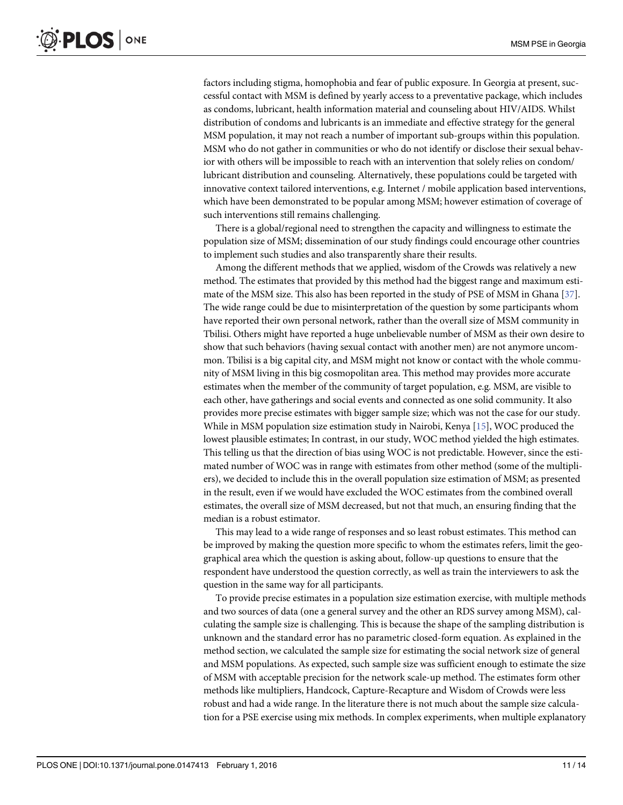<span id="page-10-0"></span>factors including stigma, homophobia and fear of public exposure. In Georgia at present, successful contact with MSM is defined by yearly access to a preventative package, which includes as condoms, lubricant, health information material and counseling about HIV/AIDS. Whilst distribution of condoms and lubricants is an immediate and effective strategy for the general MSM population, it may not reach a number of important sub-groups within this population. MSM who do not gather in communities or who do not identify or disclose their sexual behavior with others will be impossible to reach with an intervention that solely relies on condom/ lubricant distribution and counseling. Alternatively, these populations could be targeted with innovative context tailored interventions, e.g. Internet / mobile application based interventions, which have been demonstrated to be popular among MSM; however estimation of coverage of such interventions still remains challenging.

There is a global/regional need to strengthen the capacity and willingness to estimate the population size of MSM; dissemination of our study findings could encourage other countries to implement such studies and also transparently share their results.

Among the different methods that we applied, wisdom of the Crowds was relatively a new method. The estimates that provided by this method had the biggest range and maximum estimate of the MSM size. This also has been reported in the study of PSE of MSM in Ghana [\[37\]](#page-13-0). The wide range could be due to misinterpretation of the question by some participants whom have reported their own personal network, rather than the overall size of MSM community in Tbilisi. Others might have reported a huge unbelievable number of MSM as their own desire to show that such behaviors (having sexual contact with another men) are not anymore uncommon. Tbilisi is a big capital city, and MSM might not know or contact with the whole community of MSM living in this big cosmopolitan area. This method may provides more accurate estimates when the member of the community of target population, e.g. MSM, are visible to each other, have gatherings and social events and connected as one solid community. It also provides more precise estimates with bigger sample size; which was not the case for our study. While in MSM population size estimation study in Nairobi, Kenya [\[15\]](#page-12-0), WOC produced the lowest plausible estimates; In contrast, in our study, WOC method yielded the high estimates. This telling us that the direction of bias using WOC is not predictable. However, since the estimated number of WOC was in range with estimates from other method (some of the multipliers), we decided to include this in the overall population size estimation of MSM; as presented in the result, even if we would have excluded the WOC estimates from the combined overall estimates, the overall size of MSM decreased, but not that much, an ensuring finding that the median is a robust estimator.

This may lead to a wide range of responses and so least robust estimates. This method can be improved by making the question more specific to whom the estimates refers, limit the geographical area which the question is asking about, follow-up questions to ensure that the respondent have understood the question correctly, as well as train the interviewers to ask the question in the same way for all participants.

To provide precise estimates in a population size estimation exercise, with multiple methods and two sources of data (one a general survey and the other an RDS survey among MSM), calculating the sample size is challenging. This is because the shape of the sampling distribution is unknown and the standard error has no parametric closed-form equation. As explained in the method section, we calculated the sample size for estimating the social network size of general and MSM populations. As expected, such sample size was sufficient enough to estimate the size of MSM with acceptable precision for the network scale-up method. The estimates form other methods like multipliers, Handcock, Capture-Recapture and Wisdom of Crowds were less robust and had a wide range. In the literature there is not much about the sample size calculation for a PSE exercise using mix methods. In complex experiments, when multiple explanatory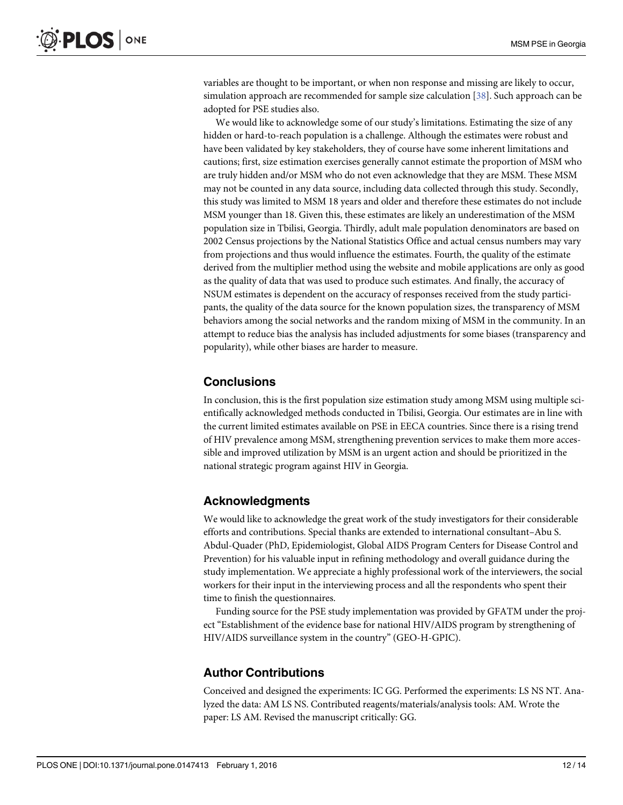<span id="page-11-0"></span>variables are thought to be important, or when non response and missing are likely to occur, simulation approach are recommended for sample size calculation [\[38\]](#page-13-0). Such approach can be adopted for PSE studies also.

We would like to acknowledge some of our study's limitations. Estimating the size of any hidden or hard-to-reach population is a challenge. Although the estimates were robust and have been validated by key stakeholders, they of course have some inherent limitations and cautions; first, size estimation exercises generally cannot estimate the proportion of MSM who are truly hidden and/or MSM who do not even acknowledge that they are MSM. These MSM may not be counted in any data source, including data collected through this study. Secondly, this study was limited to MSM 18 years and older and therefore these estimates do not include MSM younger than 18. Given this, these estimates are likely an underestimation of the MSM population size in Tbilisi, Georgia. Thirdly, adult male population denominators are based on 2002 Census projections by the National Statistics Office and actual census numbers may vary from projections and thus would influence the estimates. Fourth, the quality of the estimate derived from the multiplier method using the website and mobile applications are only as good as the quality of data that was used to produce such estimates. And finally, the accuracy of NSUM estimates is dependent on the accuracy of responses received from the study participants, the quality of the data source for the known population sizes, the transparency of MSM behaviors among the social networks and the random mixing of MSM in the community. In an attempt to reduce bias the analysis has included adjustments for some biases (transparency and popularity), while other biases are harder to measure.

### **Conclusions**

In conclusion, this is the first population size estimation study among MSM using multiple scientifically acknowledged methods conducted in Tbilisi, Georgia. Our estimates are in line with the current limited estimates available on PSE in EECA countries. Since there is a rising trend of HIV prevalence among MSM, strengthening prevention services to make them more accessible and improved utilization by MSM is an urgent action and should be prioritized in the national strategic program against HIV in Georgia.

## Acknowledgments

We would like to acknowledge the great work of the study investigators for their considerable efforts and contributions. Special thanks are extended to international consultant–Abu S. Abdul-Quader (PhD, Epidemiologist, Global AIDS Program Centers for Disease Control and Prevention) for his valuable input in refining methodology and overall guidance during the study implementation. We appreciate a highly professional work of the interviewers, the social workers for their input in the interviewing process and all the respondents who spent their time to finish the questionnaires.

Funding source for the PSE study implementation was provided by GFATM under the project "Establishment of the evidence base for national HIV/AIDS program by strengthening of HIV/AIDS surveillance system in the country" (GEO-H-GPIC).

## Author Contributions

Conceived and designed the experiments: IC GG. Performed the experiments: LS NS NT. Analyzed the data: AM LS NS. Contributed reagents/materials/analysis tools: AM. Wrote the paper: LS AM. Revised the manuscript critically: GG.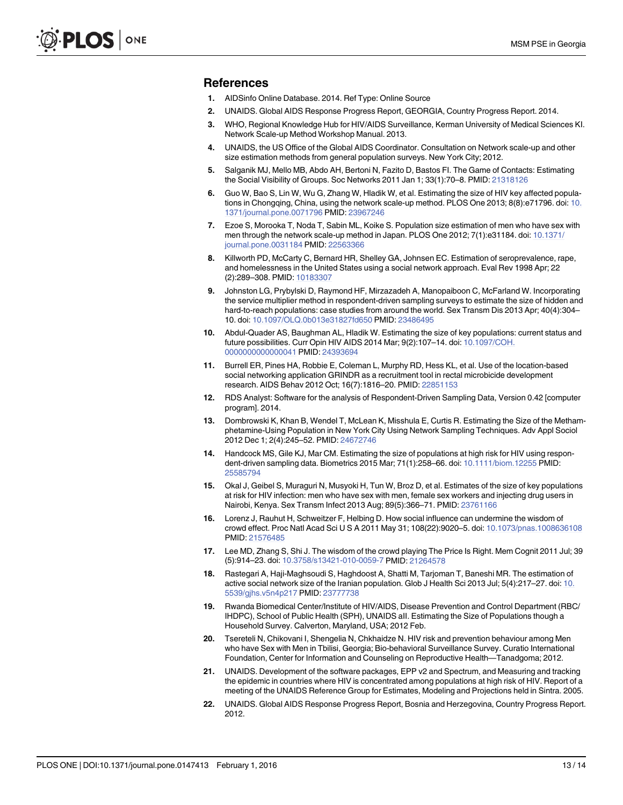#### <span id="page-12-0"></span>References

- [1.](#page-1-0) AIDSinfo Online Database. 2014. Ref Type: Online Source
- [2.](#page-1-0) UNAIDS. Global AIDS Response Progress Report, GEORGIA, Country Progress Report. 2014.
- [3.](#page-1-0) WHO, Regional Knowledge Hub for HIV/AIDS Surveillance, Kerman University of Medical Sciences KI. Network Scale-up Method Workshop Manual. 2013.
- 4. UNAIDS, the US Office of the Global AIDS Coordinator. Consultation on Network scale-up and other size estimation methods from general population surveys. New York City; 2012.
- 5. Salganik MJ, Mello MB, Abdo AH, Bertoni N, Fazito D, Bastos FI. The Game of Contacts: Estimating the Social Visibility of Groups. Soc Networks 2011 Jan 1; 33(1):70–8. PMID: [21318126](http://www.ncbi.nlm.nih.gov/pubmed/21318126)
- 6. Guo W, Bao S, Lin W, Wu G, Zhang W, Hladik W, et al. Estimating the size of HIV key affected populations in Chongqing, China, using the network scale-up method. PLOS One 2013; 8(8):e71796. doi: [10.](http://dx.doi.org/10.1371/journal.pone.0071796) [1371/journal.pone.0071796](http://dx.doi.org/10.1371/journal.pone.0071796) PMID: [23967246](http://www.ncbi.nlm.nih.gov/pubmed/23967246)
- [7.](#page-1-0) Ezoe S, Morooka T, Noda T, Sabin ML, Koike S. Population size estimation of men who have sex with men through the network scale-up method in Japan. PLOS One 2012; 7(1):e31184. doi: [10.1371/](http://dx.doi.org/10.1371/journal.pone.0031184) [journal.pone.0031184](http://dx.doi.org/10.1371/journal.pone.0031184) PMID: [22563366](http://www.ncbi.nlm.nih.gov/pubmed/22563366)
- [8.](#page-2-0) Killworth PD, McCarty C, Bernard HR, Shelley GA, Johnsen EC. Estimation of seroprevalence, rape, and homelessness in the United States using a social network approach. Eval Rev 1998 Apr; 22 (2):289–308. PMID: [10183307](http://www.ncbi.nlm.nih.gov/pubmed/10183307)
- [9.](#page-3-0) Johnston LG, Prybylski D, Raymond HF, Mirzazadeh A, Manopaiboon C, McFarland W. Incorporating the service multiplier method in respondent-driven sampling surveys to estimate the size of hidden and hard-to-reach populations: case studies from around the world. Sex Transm Dis 2013 Apr; 40(4):304– 10. doi: [10.1097/OLQ.0b013e31827fd650](http://dx.doi.org/10.1097/OLQ.0b013e31827fd650) PMID: [23486495](http://www.ncbi.nlm.nih.gov/pubmed/23486495)
- [10.](#page-3-0) Abdul-Quader AS, Baughman AL, Hladik W. Estimating the size of key populations: current status and future possibilities. Curr Opin HIV AIDS 2014 Mar; 9(2):107–14. doi: [10.1097/COH.](http://dx.doi.org/10.1097/COH.0000000000000041) [0000000000000041](http://dx.doi.org/10.1097/COH.0000000000000041) PMID: [24393694](http://www.ncbi.nlm.nih.gov/pubmed/24393694)
- [11.](#page-3-0) Burrell ER, Pines HA, Robbie E, Coleman L, Murphy RD, Hess KL, et al. Use of the location-based social networking application GRINDR as a recruitment tool in rectal microbicide development research. AIDS Behav 2012 Oct; 16(7):1816–20. PMID: [22851153](http://www.ncbi.nlm.nih.gov/pubmed/22851153)
- [12.](#page-3-0) RDS Analyst: Software for the analysis of Respondent-Driven Sampling Data, Version 0.42 [computer program]. 2014.
- [13.](#page-4-0) Dombrowski K, Khan B, Wendel T, McLean K, Misshula E, Curtis R. Estimating the Size of the Methamphetamine-Using Population in New York City Using Network Sampling Techniques. Adv Appl Sociol 2012 Dec 1; 2(4):245–52. PMID: [24672746](http://www.ncbi.nlm.nih.gov/pubmed/24672746)
- [14.](#page-5-0) Handcock MS, Gile KJ, Mar CM. Estimating the size of populations at high risk for HIV using respondent-driven sampling data. Biometrics 2015 Mar; 71(1):258–66. doi: [10.1111/biom.12255](http://dx.doi.org/10.1111/biom.12255) PMID: [25585794](http://www.ncbi.nlm.nih.gov/pubmed/25585794)
- [15.](#page-5-0) Okal J, Geibel S, Muraguri N, Musyoki H, Tun W, Broz D, et al. Estimates of the size of key populations at risk for HIV infection: men who have sex with men, female sex workers and injecting drug users in Nairobi, Kenya. Sex Transm Infect 2013 Aug; 89(5):366–71. PMID: [23761166](http://www.ncbi.nlm.nih.gov/pubmed/23761166)
- [16.](#page-5-0) Lorenz J, Rauhut H, Schweitzer F, Helbing D. How social influence can undermine the wisdom of crowd effect. Proc Natl Acad Sci U S A 2011 May 31; 108(22):9020–5. doi: [10.1073/pnas.1008636108](http://dx.doi.org/10.1073/pnas.1008636108) PMID: [21576485](http://www.ncbi.nlm.nih.gov/pubmed/21576485)
- [17.](#page-5-0) Lee MD, Zhang S, Shi J. The wisdom of the crowd playing The Price Is Right. Mem Cognit 2011 Jul; 39 (5):914–23. doi: [10.3758/s13421-010-0059-7](http://dx.doi.org/10.3758/s13421-010-0059-7) PMID: [21264578](http://www.ncbi.nlm.nih.gov/pubmed/21264578)
- [18.](#page-5-0) Rastegari A, Haji-Maghsoudi S, Haghdoost A, Shatti M, Tarjoman T, Baneshi MR. The estimation of active social network size of the Iranian population. Glob J Health Sci 2013 Jul; 5(4):217–27. doi: [10.](http://dx.doi.org/10.5539/gjhs.v5n4p217) [5539/gjhs.v5n4p217](http://dx.doi.org/10.5539/gjhs.v5n4p217) PMID: [23777738](http://www.ncbi.nlm.nih.gov/pubmed/23777738)
- [19.](#page-5-0) Rwanda Biomedical Center/Institute of HIV/AIDS, Disease Prevention and Control Department (RBC/ IHDPC), School of Public Health (SPH), UNAIDS aII. Estimating the Size of Populations though a Household Survey. Calverton, Maryland, USA; 2012 Feb.
- [20.](#page-5-0) Tsereteli N, Chikovani I, Shengelia N, Chkhaidze N. HIV risk and prevention behaviour among Men who have Sex with Men in Tbilisi, Georgia; Bio-behavioral Surveillance Survey. Curatio International Foundation, Center for Information and Counseling on Reproductive Health—Tanadgoma; 2012.
- [21.](#page-9-0) UNAIDS. Development of the software packages, EPP v2 and Spectrum, and Measuring and tracking the epidemic in countries where HIV is concentrated among populations at high risk of HIV. Report of a meeting of the UNAIDS Reference Group for Estimates, Modeling and Projections held in Sintra. 2005.
- [22.](#page-9-0) UNAIDS. Global AIDS Response Progress Report, Bosnia and Herzegovina, Country Progress Report. 2012.